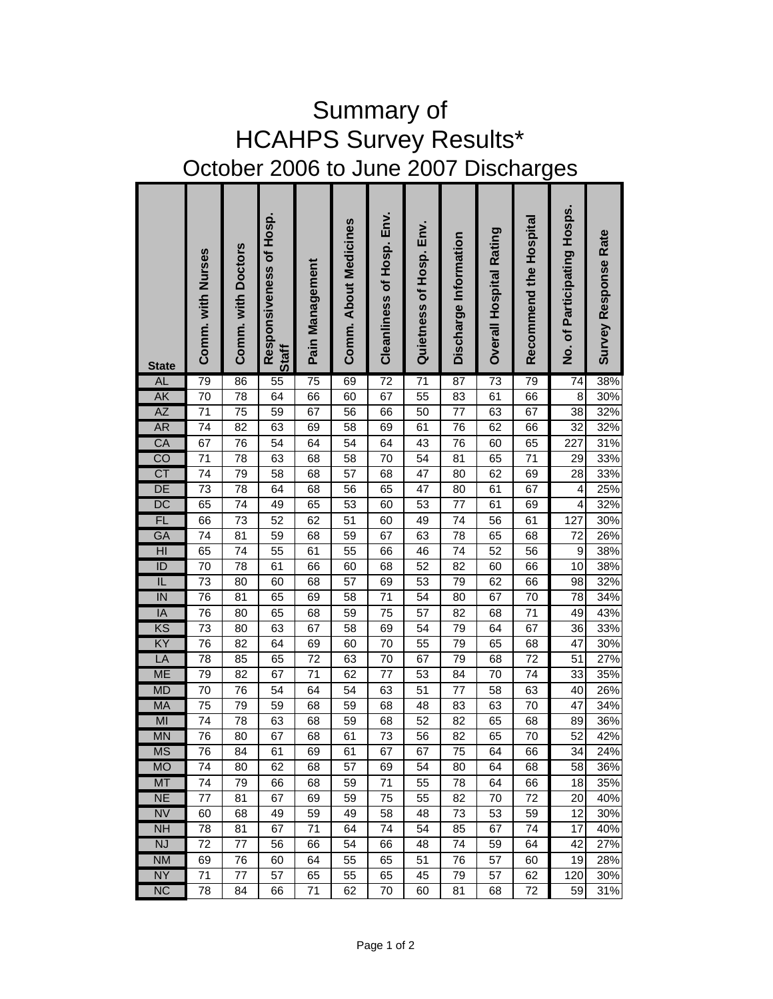| <b>HCAHPS Survey Results*</b>        |                   |                    |                                  |                 |                       |                           |                         |                       |                         |                        |                             |                             |
|--------------------------------------|-------------------|--------------------|----------------------------------|-----------------|-----------------------|---------------------------|-------------------------|-----------------------|-------------------------|------------------------|-----------------------------|-----------------------------|
| October 2006 to June 2007 Discharges |                   |                    |                                  |                 |                       |                           |                         |                       |                         |                        |                             |                             |
| <b>State</b>                         | Comm. with Nurses | Comm. with Doctors | Responsiveness of Hosp.<br>Staff | Pain Management | Comm. About Medicines | Cleanliness of Hosp. Env. | Quietness of Hosp. Env. | Discharge Information | Overall Hospital Rating | Recommend the Hospital | No. of Participating Hosps. | <b>Survey Response Rate</b> |
| <b>AL</b>                            | 79                | 86                 | 55                               | 75              | 69                    | $\overline{72}$           | $\overline{71}$         | 87                    | 73                      | 79                     | 74                          | 38%                         |
| <b>AK</b>                            | 70                | 78                 | 64                               | 66              | 60                    | 67                        | 55                      | 83                    | 61                      | 66                     | 8                           | 30%                         |
| AZ                                   | 71                | 75                 | 59                               | 67              | 56                    | 66                        | 50                      | 77                    | 63                      | 67                     | 38                          | 32%                         |
| <b>AR</b><br>CA                      | 74<br>67          | 82<br>76           | 63<br>54                         | 69<br>64        | 58<br>54              | 69<br>64                  | 61<br>43                | 76<br>76              | 62<br>60                | 66<br>65               | 32<br>227                   | 32%<br>31%                  |
| $\overline{CO}$                      | 71                | 78                 | 63                               | 68              | 58                    | 70                        | 54                      | 81                    | 65                      | 71                     | 29                          | 33%                         |
| CT                                   | 74                | 79                 | 58                               | 68              | 57                    | 68                        | 47                      | 80                    | 62                      | 69                     | 28                          | 33%                         |
| DE                                   | 73                | 78                 | 64                               | 68              | 56                    | 65                        | 47                      | 80                    | 61                      | 67                     | 4                           | 25%                         |
| $\overline{DC}$                      | 65                | 74                 | 49                               | 65              | 53                    | 60                        | 53                      | 77                    | 61                      | 69                     | $\overline{4}$              | 32%                         |
| <b>FL</b>                            | 66                | 73                 | 52                               | 62              | 51                    | 60                        | 49                      | 74                    | 56                      | 61                     | 127                         | 30%                         |
| GA                                   | 74                | 81                 | 59                               | 68              | 59                    | 67                        | 63                      | 78                    | 65                      | 68                     | 72                          | 26%                         |
| H <sub>l</sub>                       | 65                | 74                 | $\overline{55}$                  | 61              | 55                    | 66                        | 46                      | 74                    | 52                      | 56                     | $\boldsymbol{9}$            | 38%                         |
| ID                                   | 70                | 78                 | 61                               | 66              | 60                    | 68                        | 52                      | 82                    | 60                      | 66                     | 10                          | 38%                         |
| $\overline{\mathsf{I}}$              | 73                | 80                 | 60                               | 68              | 57                    | 69                        | 53                      | 79                    | 62                      | 66                     | 98                          | 32%                         |
| IN                                   | 76                | 81                 | 65                               | 69              | 58                    | $\overline{71}$           | 54                      | 80                    | 67                      | 70                     | 78                          | 34%                         |
| IA                                   | 76                | 80                 | 65                               | 68              | 59                    | 75                        | 57                      | 82                    | 68                      | 71                     | 49                          | 43%                         |
| KS                                   | 73                | 80                 | 63                               | 67              | 58                    | 69                        | 54                      | 79                    | 64                      | 67                     | 36                          | 33%                         |
| ΚY                                   | 76                | 82                 | 64                               | 69              | 60                    | 70                        | 55                      | 79                    | 65                      | 68                     | 47                          | 30%                         |
| LA<br><b>ME</b>                      | 78                | 85<br>82           | 65<br>67                         | 72<br>71        | 63<br>62              | 70                        | 67<br>53                | 79                    | 68                      | 72<br>74               | 51<br>33                    | $\frac{1}{27%}$<br>35%      |
| <b>MD</b>                            | 79<br>70          | 76                 | 54                               | 64              | 54                    | 77<br>63                  | 51                      | 84<br>77              | 70<br>58                | 63                     | 40                          | 26%                         |
| <b>MA</b>                            | 75                | 79                 | 59                               | 68              | 59                    | 68                        | 48                      | 83                    | 63                      | 70                     | 47                          | 34%                         |
| MI                                   | 74                | 78                 | 63                               | 68              | 59                    | 68                        | 52                      | 82                    | 65                      | 68                     | 89                          | 36%                         |
| <b>MN</b>                            | 76                | 80                 | 67                               | 68              | 61                    | 73                        | 56                      | 82                    | 65                      | 70                     | 52                          | 42%                         |
| <b>MS</b>                            | 76                | 84                 | 61                               | 69              | 61                    | 67                        | 67                      | 75                    | 64                      | 66                     | 34                          | 24%                         |
| <b>MO</b>                            | 74                | 80                 | 62                               | 68              | 57                    | 69                        | 54                      | 80                    | 64                      | 68                     | 58                          | 36%                         |
| <b>MT</b>                            | 74                | 79                 | 66                               | 68              | 59                    | 71                        | 55                      | 78                    | 64                      | 66                     | 18                          | 35%                         |
| <b>NE</b>                            | 77                | 81                 | 67                               | 69              | 59                    | 75                        | 55                      | 82                    | 70                      | 72                     | 20                          | 40%                         |
| <b>NV</b>                            | 60                | 68                 | 49                               | 59              | 49                    | 58                        | 48                      | 73                    | 53                      | 59                     | 12                          | 30%                         |
| <b>NH</b>                            | 78                | 81                 | 67                               | 71              | 64                    | 74                        | 54                      | 85                    | 67                      | 74                     | 17                          | 40%                         |
| <b>NJ</b>                            | 72                | 77                 | 56                               | 66              | 54                    | 66                        | 48                      | 74                    | 59                      | 64                     | 42                          | 27%                         |
| <b>NM</b>                            | 69                | 76                 | 60                               | 64              | 55                    | 65                        | 51                      | 76                    | 57                      | 60                     | 19                          | 28%                         |
| <b>NY</b>                            | 71                | 77                 | 57                               | 65              | 55                    | 65                        | 45                      | 79                    | 57                      | 62                     | 120                         | 30%                         |
| <b>NC</b>                            | 78                | 84                 | 66                               | 71              | 62                    | 70                        | 60                      | 81                    | 68                      | 72                     | 59                          | 31%                         |

## Summary of HCAHPS Survey Results\*